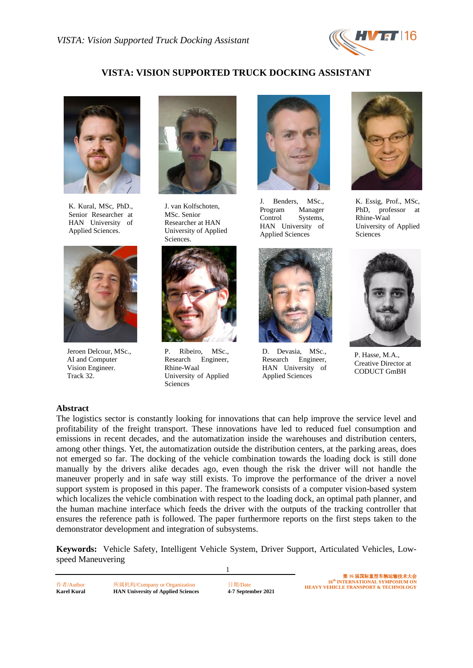

# **VISTA: VISION SUPPORTED TRUCK DOCKING ASSISTANT**



K. Kural, MSc, PhD., Senior Researcher at HAN University of Applied Sciences.



Jeroen Delcour, MSc., AI and Computer Vision Engineer. Track 32.



J. van Kolfschoten, MSc. Senior Researcher at HAN University of Applied Sciences.



P. Ribeiro, MSc., Research Engineer, Rhine-Waal University of Applied Sciences



J. Benders, MSc., Program Manager Control Systems, HAN University of Applied Sciences



D. Devasia, MSc., Research Engineer, HAN University of Applied Sciences



K. Essig, Prof., MSc, PhD, professor at Rhine-Waal University of Applied Sciences



P. Hasse, M.A., Creative Director at CODUCT GmBH

#### **Abstract**

The logistics sector is constantly looking for innovations that can help improve the service level and profitability of the freight transport. These innovations have led to reduced fuel consumption and emissions in recent decades, and the automatization inside the warehouses and distribution centers, among other things. Yet, the automatization outside the distribution centers, at the parking areas, does not emerged so far. The docking of the vehicle combination towards the loading dock is still done manually by the drivers alike decades ago, even though the risk the driver will not handle the maneuver properly and in safe way still exists. To improve the performance of the driver a novel support system is proposed in this paper. The framework consists of a computer vision-based system which localizes the vehicle combination with respect to the loading dock, an optimal path planner, and the human machine interface which feeds the driver with the outputs of the tracking controller that ensures the reference path is followed. The paper furthermore reports on the first steps taken to the demonstrator development and integration of subsystems.

**Keywords:** Vehicle Safety, Intelligent Vehicle System, Driver Support, Articulated Vehicles, Lowspeed Maneuvering

1

作者/Author 所属机构/Company or Organization 日期/Date **Karel Kural HAN University of Applied Sciences 4-7 September 2021**

第 **16** 届国际重型车辆运输技术大会 **16th INTERNATIONAL SYMPOSIUM ON HEAVY VEHICLE TRANSPORT & TECHNOLOGY**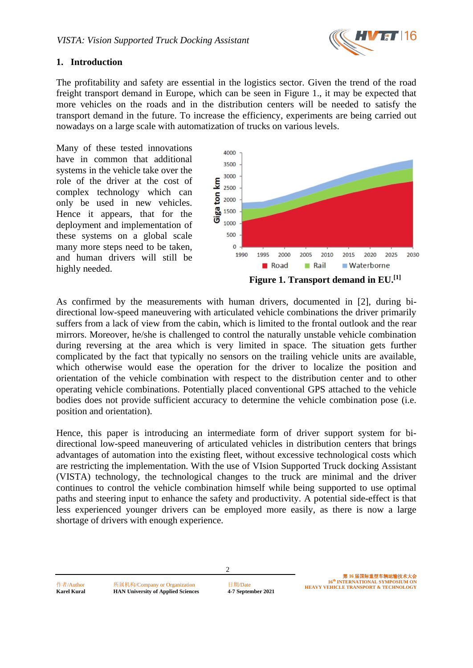

## **1. Introduction**

The profitability and safety are essential in the logistics sector. Given the trend of the road freight transport demand in Europe, which can be seen in Figure 1., it may be expected that more vehicles on the roads and in the distribution centers will be needed to satisfy the transport demand in the future. To increase the efficiency, experiments are being carried out nowadays on a large scale with automatization of trucks on various levels.

Many of these tested innovations have in common that additional systems in the vehicle take over the role of the driver at the cost of complex technology which can only be used in new vehicles. Hence it appears, that for the deployment and implementation of these systems on a global scale many more steps need to be taken, and human drivers will still be highly needed.



As confirmed by the measurements with human drivers, documented in [2], during bidirectional low-speed maneuvering with articulated vehicle combinations the driver primarily suffers from a lack of view from the cabin, which is limited to the frontal outlook and the rear mirrors. Moreover, he/she is challenged to control the naturally unstable vehicle combination during reversing at the area which is very limited in space. The situation gets further complicated by the fact that typically no sensors on the trailing vehicle units are available, which otherwise would ease the operation for the driver to localize the position and orientation of the vehicle combination with respect to the distribution center and to other operating vehicle combinations. Potentially placed conventional GPS attached to the vehicle bodies does not provide sufficient accuracy to determine the vehicle combination pose (i.e. position and orientation).

Hence, this paper is introducing an intermediate form of driver support system for bidirectional low-speed maneuvering of articulated vehicles in distribution centers that brings advantages of automation into the existing fleet, without excessive technological costs which are restricting the implementation. With the use of VIsion Supported Truck docking Assistant (VISTA) technology, the technological changes to the truck are minimal and the driver continues to control the vehicle combination himself while being supported to use optimal paths and steering input to enhance the safety and productivity. A potential side-effect is that less experienced younger drivers can be employed more easily, as there is now a large shortage of drivers with enough experience.

2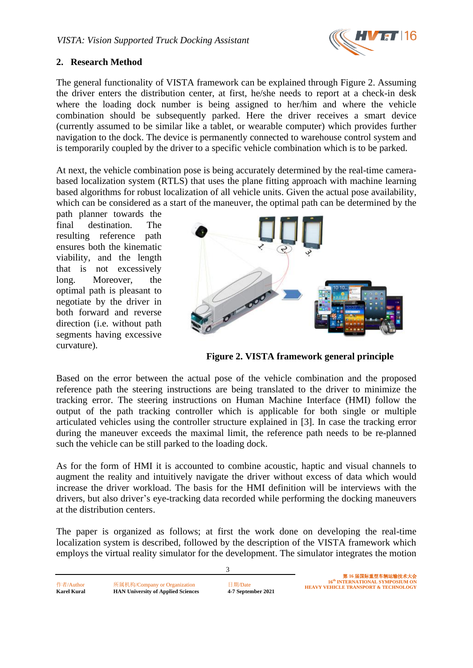

### **2. Research Method**

The general functionality of VISTA framework can be explained through Figure 2. Assuming the driver enters the distribution center, at first, he/she needs to report at a check-in desk where the loading dock number is being assigned to her/him and where the vehicle combination should be subsequently parked. Here the driver receives a smart device (currently assumed to be similar like a tablet, or wearable computer) which provides further navigation to the dock. The device is permanently connected to warehouse control system and is temporarily coupled by the driver to a specific vehicle combination which is to be parked.

At next, the vehicle combination pose is being accurately determined by the real-time camerabased localization system (RTLS) that uses the plane fitting approach with machine learning based algorithms for robust localization of all vehicle units. Given the actual pose availability, which can be considered as a start of the maneuver, the optimal path can be determined by the

path planner towards the final destination. The resulting reference path ensures both the kinematic viability, and the length that is not excessively long. Moreover, the optimal path is pleasant to negotiate by the driver in both forward and reverse direction (i.e. without path segments having excessive curvature).



 **Figure 2. VISTA framework general principle**

Based on the error between the actual pose of the vehicle combination and the proposed reference path the steering instructions are being translated to the driver to minimize the tracking error. The steering instructions on Human Machine Interface (HMI) follow the output of the path tracking controller which is applicable for both single or multiple articulated vehicles using the controller structure explained in [3]. In case the tracking error during the maneuver exceeds the maximal limit, the reference path needs to be re-planned such the vehicle can be still parked to the loading dock.

As for the form of HMI it is accounted to combine acoustic, haptic and visual channels to augment the reality and intuitively navigate the driver without excess of data which would increase the driver workload. The basis for the HMI definition will be interviews with the drivers, but also driver's eye-tracking data recorded while performing the docking maneuvers at the distribution centers.

The paper is organized as follows; at first the work done on developing the real-time localization system is described, followed by the description of the VISTA framework which employs the virtual reality simulator for the development. The simulator integrates the motion

3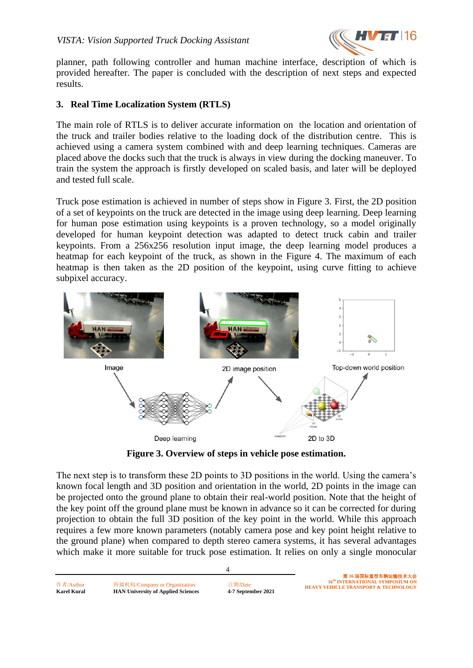

planner, path following controller and human machine interface, description of which is provided hereafter. The paper is concluded with the description of next steps and expected results.

## **3. Real Time Localization System (RTLS)**

The main role of RTLS is to deliver accurate information on the location and orientation of the truck and trailer bodies relative to the loading dock of the distribution centre. This is achieved using a camera system combined with and deep learning techniques. Cameras are placed above the docks such that the truck is always in view during the docking maneuver. To train the system the approach is firstly developed on scaled basis, and later will be deployed and tested full scale.

Truck pose estimation is achieved in number of steps show in Figure 3. First, the 2D position of a set of keypoints on the truck are detected in the image using deep learning. Deep learning for human pose estimation using keypoints is a proven technology, so a model originally developed for human keypoint detection was adapted to detect truck cabin and trailer keypoints. From a 256x256 resolution input image, the deep learning model produces a heatmap for each keypoint of the truck, as shown in the Figure 4. The maximum of each heatmap is then taken as the 2D position of the keypoint, using curve fitting to achieve subpixel accuracy.



**Figure 3. Overview of steps in vehicle pose estimation.**

The next step is to transform these 2D points to 3D positions in the world. Using the camera's known focal length and 3D position and orientation in the world, 2D points in the image can be projected onto the ground plane to obtain their real-world position. Note that the height of the key point off the ground plane must be known in advance so it can be corrected for during projection to obtain the full 3D position of the key point in the world. While this approach requires a few more known parameters (notably camera pose and key point height relative to the ground plane) when compared to depth stereo camera systems, it has several advantages which make it more suitable for truck pose estimation. It relies on only a single monocular

4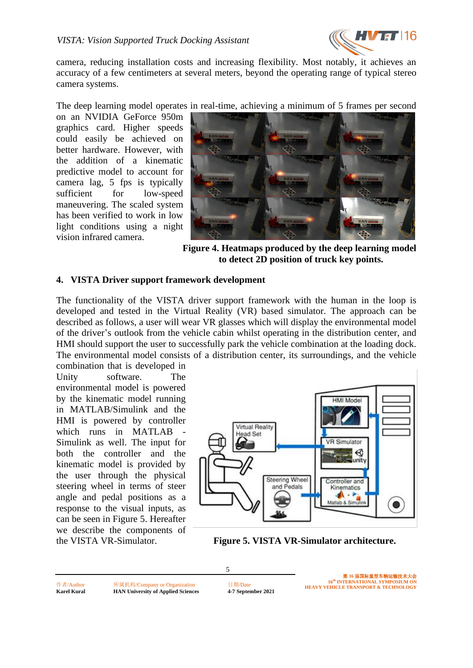

camera, reducing installation costs and increasing flexibility. Most notably, it achieves an accuracy of a few centimeters at several meters, beyond the operating range of typical stereo camera systems.

The deep learning model operates in real-time, achieving a minimum of 5 frames per second

on an NVIDIA GeForce 950m graphics card. Higher speeds could easily be achieved on better hardware. However, with the addition of a kinematic predictive model to account for camera lag, 5 fps is typically sufficient for low-speed maneuvering. The scaled system has been verified to work in low light conditions using a night vision infrared camera.



**Figure 4. Heatmaps produced by the deep learning model to detect 2D position of truck key points.**

### **4. VISTA Driver support framework development**

The functionality of the VISTA driver support framework with the human in the loop is developed and tested in the Virtual Reality (VR) based simulator. The approach can be described as follows, a user will wear VR glasses which will display the environmental model of the driver's outlook from the vehicle cabin whilst operating in the distribution center, and HMI should support the user to successfully park the vehicle combination at the loading dock. The environmental model consists of a distribution center, its surroundings, and the vehicle

combination that is developed in Unity software. The environmental model is powered by the kinematic model running in MATLAB/Simulink and the HMI is powered by controller which runs in MATLAB Simulink as well. The input for both the controller and the kinematic model is provided by the user through the physical steering wheel in terms of steer angle and pedal positions as a response to the visual inputs, as can be seen in Figure 5. Hereafter we describe the components of



the VISTA VR-Simulator. **Figure 5. VISTA VR-Simulator architecture.**

作者/Author 所属机构/Company or Organization 日期/Date **Karel Kural HAN University of Applied Sciences 4-7 September 2021**

5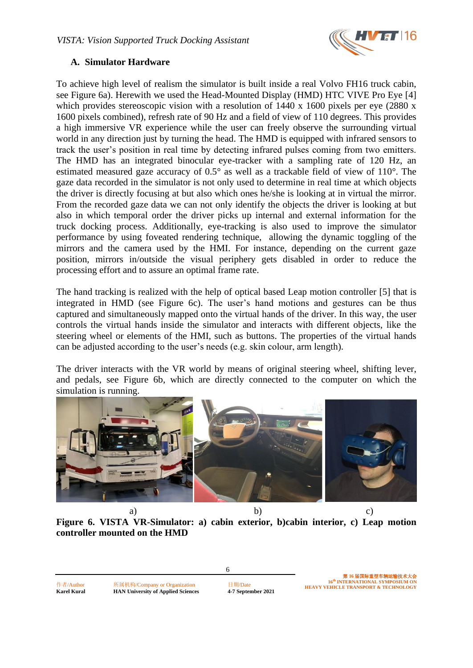

## **A. Simulator Hardware**

To achieve high level of realism the simulator is built inside a real Volvo FH16 truck cabin, see Figure 6a). Herewith we used the Head-Mounted Display (HMD) HTC VIVE Pro Eye [4] which provides stereoscopic vision with a resolution of 1440 x 1600 pixels per eye (2880 x 1600 pixels combined), refresh rate of 90 Hz and a field of view of 110 degrees. This provides a high immersive VR experience while the user can freely observe the surrounding virtual world in any direction just by turning the head. The HMD is equipped with infrared sensors to track the user's position in real time by detecting infrared pulses coming from two emitters. The HMD has an integrated binocular eye-tracker with a sampling rate of 120 Hz, an estimated measured gaze accuracy of 0.5° as well as a trackable field of view of 110°. The gaze data recorded in the simulator is not only used to determine in real time at which objects the driver is directly focusing at but also which ones he/she is looking at in virtual the mirror. From the recorded gaze data we can not only identify the objects the driver is looking at but also in which temporal order the driver picks up internal and external information for the truck docking process. Additionally, eye-tracking is also used to improve the simulator performance by using foveated rendering technique, allowing the dynamic toggling of the mirrors and the camera used by the HMI. For instance, depending on the current gaze position, mirrors in/outside the visual periphery gets disabled in order to reduce the processing effort and to assure an optimal frame rate.

The hand tracking is realized with the help of optical based Leap motion controller [5] that is integrated in HMD (see Figure 6c). The user's hand motions and gestures can be thus captured and simultaneously mapped onto the virtual hands of the driver. In this way, the user controls the virtual hands inside the simulator and interacts with different objects, like the steering wheel or elements of the HMI, such as buttons. The properties of the virtual hands can be adjusted according to the user's needs (e.g. skin colour, arm length).

The driver interacts with the VR world by means of original steering wheel, shifting lever, and pedals, see Figure 6b, which are directly connected to the computer on which the simulation is running.



a) b) c) **Figure 6. VISTA VR-Simulator: a) cabin exterior, b)cabin interior, c) Leap motion controller mounted on the HMD**

6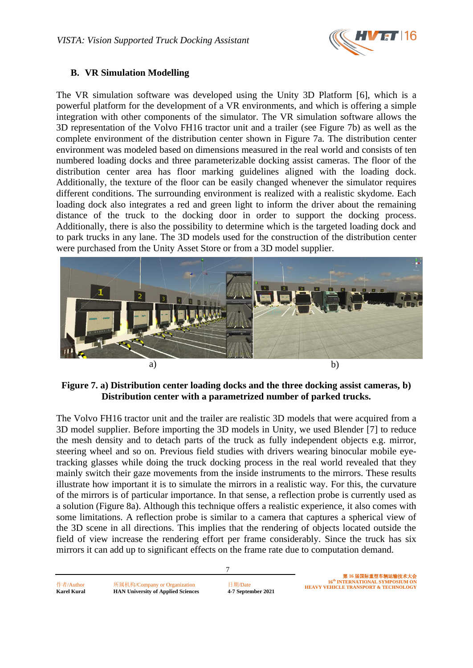

## **B. VR Simulation Modelling**

The VR simulation software was developed using the Unity 3D Platform [6], which is a powerful platform for the development of a VR environments, and which is offering a simple integration with other components of the simulator. The VR simulation software allows the 3D representation of the Volvo FH16 tractor unit and a trailer (see Figure 7b) as well as the complete environment of the distribution center shown in Figure 7a. The distribution center environment was modeled based on dimensions measured in the real world and consists of ten numbered loading docks and three parameterizable docking assist cameras. The floor of the distribution center area has floor marking guidelines aligned with the loading dock. Additionally, the texture of the floor can be easily changed whenever the simulator requires different conditions. The surrounding environment is realized with a realistic skydome. Each loading dock also integrates a red and green light to inform the driver about the remaining distance of the truck to the docking door in order to support the docking process. Additionally, there is also the possibility to determine which is the targeted loading dock and to park trucks in any lane. The 3D models used for the construction of the distribution center were purchased from the Unity Asset Store or from a 3D model supplier.



## **Figure 7. a) Distribution center loading docks and the three docking assist cameras, b) Distribution center with a parametrized number of parked trucks.**

The Volvo FH16 tractor unit and the trailer are realistic 3D models that were acquired from a 3D model supplier. Before importing the 3D models in Unity, we used Blender [7] to reduce the mesh density and to detach parts of the truck as fully independent objects e.g. mirror, steering wheel and so on. Previous field studies with drivers wearing binocular mobile eyetracking glasses while doing the truck docking process in the real world revealed that they mainly switch their gaze movements from the inside instruments to the mirrors. These results illustrate how important it is to simulate the mirrors in a realistic way. For this, the curvature of the mirrors is of particular importance. In that sense, a reflection probe is currently used as a solution (Figure 8a). Although this technique offers a realistic experience, it also comes with some limitations. A reflection probe is similar to a camera that captures a spherical view of the 3D scene in all directions. This implies that the rendering of objects located outside the field of view increase the rendering effort per frame considerably. Since the truck has six mirrors it can add up to significant effects on the frame rate due to computation demand.

7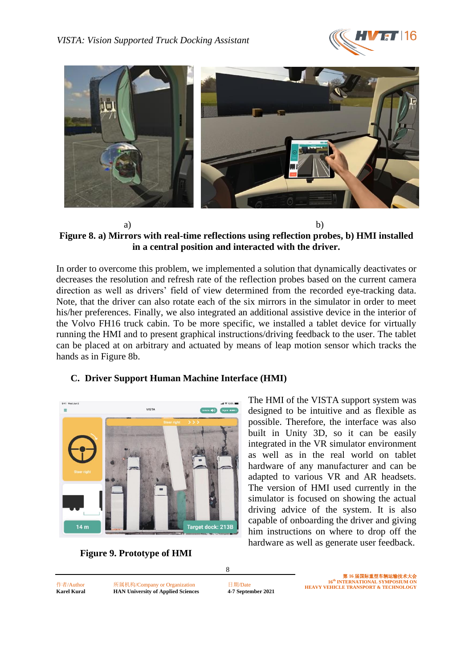



#### a) b) **Figure 8. a) Mirrors with real-time reflections using reflection probes, b) HMI installed in a central position and interacted with the driver.**

In order to overcome this problem, we implemented a solution that dynamically deactivates or decreases the resolution and refresh rate of the reflection probes based on the current camera direction as well as drivers' field of view determined from the recorded eye-tracking data. Note, that the driver can also rotate each of the six mirrors in the simulator in order to meet his/her preferences. Finally, we also integrated an additional assistive device in the interior of the Volvo FH16 truck cabin. To be more specific, we installed a tablet device for virtually running the HMI and to present graphical instructions/driving feedback to the user. The tablet can be placed at on arbitrary and actuated by means of leap motion sensor which tracks the hands as in Figure 8b.

## **C. Driver Support Human Machine Interface (HMI)**



The HMI of the VISTA support system was designed to be intuitive and as flexible as possible. Therefore, the interface was also built in Unity 3D, so it can be easily integrated in the VR simulator environment as well as in the real world on tablet hardware of any manufacturer and can be adapted to various VR and AR headsets. The version of HMI used currently in the simulator is focused on showing the actual driving advice of the system. It is also capable of onboarding the driver and giving him instructions on where to drop off the hardware as well as generate user feedback.



作者/Author 所属机构/Company or Organization 日期/Date **Karel Kural HAN University of Applied Sciences 4-7 September 2021**

8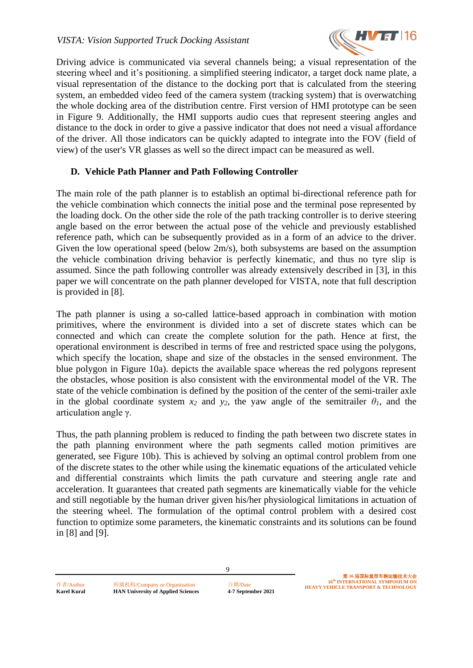

Driving advice is communicated via several channels being; a visual representation of the steering wheel and it's positioning. a simplified steering indicator, a target dock name plate, a visual representation of the distance to the docking port that is calculated from the steering system, an embedded video feed of the camera system (tracking system) that is overwatching the whole docking area of the distribution centre. First version of HMI prototype can be seen in Figure 9. Additionally, the HMI supports audio cues that represent steering angles and distance to the dock in order to give a passive indicator that does not need a visual affordance of the driver. All those indicators can be quickly adapted to integrate into the FOV (field of view) of the user's VR glasses as well so the direct impact can be measured as well.

## **D. Vehicle Path Planner and Path Following Controller**

The main role of the path planner is to establish an optimal bi-directional reference path for the vehicle combination which connects the initial pose and the terminal pose represented by the loading dock. On the other side the role of the path tracking controller is to derive steering angle based on the error between the actual pose of the vehicle and previously established reference path, which can be subsequently provided as in a form of an advice to the driver. Given the low operational speed (below 2m/s), both subsystems are based on the assumption the vehicle combination driving behavior is perfectly kinematic, and thus no tyre slip is assumed. Since the path following controller was already extensively described in [3], in this paper we will concentrate on the path planner developed for VISTA, note that full description is provided in [8].

The path planner is using a so-called lattice-based approach in combination with motion primitives, where the environment is divided into a set of discrete states which can be connected and which can create the complete solution for the path. Hence at first, the operational environment is described in terms of free and restricted space using the polygons, which specify the location, shape and size of the obstacles in the sensed environment. The blue polygon in Figure 10a). depicts the available space whereas the red polygons represent the obstacles, whose position is also consistent with the environmental model of the VR. The state of the vehicle combination is defined by the position of the center of the semi-trailer axle in the global coordinate system  $x_2$  and  $y_2$ , the yaw angle of the semitrailer  $\theta_1$ , and the articulation angle γ.

Thus, the path planning problem is reduced to finding the path between two discrete states in the path planning environment where the path segments called motion primitives are generated, see Figure 10b). This is achieved by solving an optimal control problem from one of the discrete states to the other while using the kinematic equations of the articulated vehicle and differential constraints which limits the path curvature and steering angle rate and acceleration. It guarantees that created path segments are kinematically viable for the vehicle and still negotiable by the human driver given his/her physiological limitations in actuation of the steering wheel. The formulation of the optimal control problem with a desired cost function to optimize some parameters, the kinematic constraints and its solutions can be found in [8] and [9].

9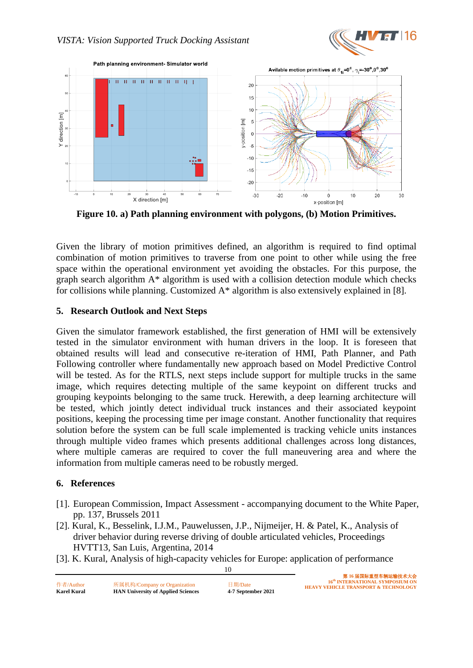



**Figure 10. a) Path planning environment with polygons, (b) Motion Primitives.**

Given the library of motion primitives defined, an algorithm is required to find optimal combination of motion primitives to traverse from one point to other while using the free space within the operational environment yet avoiding the obstacles. For this purpose, the graph search algorithm A\* algorithm is used with a collision detection module which checks for collisions while planning. Customized  $A^*$  algorithm is also extensively explained in [8].

## **5. Research Outlook and Next Steps**

Given the simulator framework established, the first generation of HMI will be extensively tested in the simulator environment with human drivers in the loop. It is foreseen that obtained results will lead and consecutive re-iteration of HMI, Path Planner, and Path Following controller where fundamentally new approach based on Model Predictive Control will be tested. As for the RTLS, next steps include support for multiple trucks in the same image, which requires detecting multiple of the same keypoint on different trucks and grouping keypoints belonging to the same truck. Herewith, a deep learning architecture will be tested, which jointly detect individual truck instances and their associated keypoint positions, keeping the processing time per image constant. Another functionality that requires solution before the system can be full scale implemented is tracking vehicle units instances through multiple video frames which presents additional challenges across long distances, where multiple cameras are required to cover the full maneuvering area and where the information from multiple cameras need to be robustly merged.

### **6. References**

- [1]. European Commission, Impact Assessment accompanying document to the White Paper, pp. 137, Brussels 2011
- [2]. Kural, K., Besselink, I.J.M., Pauwelussen, J.P., Nijmeijer, H. & Patel, K., Analysis of driver behavior during reverse driving of double articulated vehicles, Proceedings HVTT13, San Luis, Argentina, 2014
- 10 [3]. K. Kural, Analysis of high-capacity vehicles for Europe: application of performance